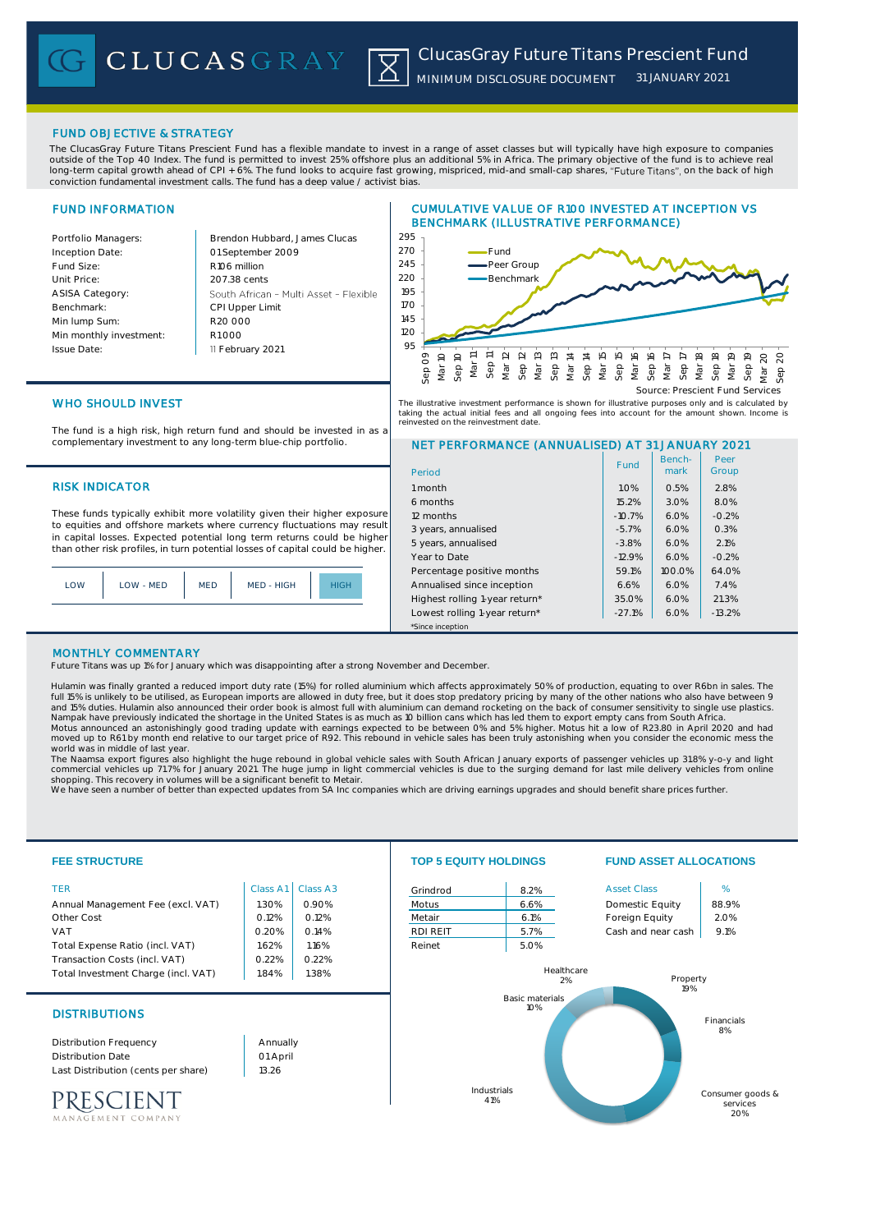## FUND OBJECTIVE & STRATEGY

The ClucasGray Future Titans Prescient Fund has a flexible mandate to invest in a range of asset classes but will typically have high exposure to companies outside of the Top 40 Index. The fund is permitted to invest 25% offshore plus an additional 5% in Africa. The primary objective of the fund is to achieve real long-term capital growth ahead of CPI + 6%. The fund looks to acquire fast growing, mispriced, mid-and small-cap shares, "Future Titans", on the back of high conviction fundamental investment calls. The fund has a deep value / activist bias.

## FUND INFORMATION

Inception Date:

ASISA Category: Benchmark: Min lump Sum:

Issue Date:

Portfolio Managers: Brendon Hubbard, James Clucas 01 September 2009 Fund Size: R106 million Unit Price: 207.38 cents South African - Multi Asset - Flexible CPI Upper Limit R20 000 Min monthly investment: R1 000 11 February 2021





## WHO SHOULD INVEST

The fund is a high risk, high return fund and should be invested in as a complementary investment to any long-term blue-chip portfolio.

## **RISK INDICATOR**

These funds typically exhibit more volatility given their higher exposure to equities and offshore markets where currency fluctuations may result in capital losses. Expected potential long term returns could be higher than other risk profiles, in turn potential losses of capital could be higher.

| LOW | LOW - MED | <b>MED</b> | MED - HIGH | <b>HIGH</b> |
|-----|-----------|------------|------------|-------------|
|     |           |            |            |             |

# NET PERFORMANCE (ANNUALISED) AT 31 JANUARY 2021 Period Benchmark Peer Fund | Bench- | Peer The illustrative investment performance is shown for illustrative purposes only and is calculated by<br>taking the actual initial fees and all ongoing fees into account for the amount shown. Income is<br>reinvested on the reinve

| 1 month                        | 1.0%     | 0.5%   | 2.8%     |  |
|--------------------------------|----------|--------|----------|--|
| 6 months                       | 15.2%    | 3.0%   | 8.0%     |  |
| 12 months                      | $-10.7%$ | 6.0%   | $-0.2%$  |  |
| 3 years, annualised            | $-5.7%$  | 6.0%   | 0.3%     |  |
| 5 years, annualised            | $-3.8%$  | 6.0%   | 2.1%     |  |
| Year to Date                   | $-12.9%$ | 6.0%   | $-0.2%$  |  |
| Percentage positive months     | 59.1%    | 100.0% | 64.0%    |  |
| Annualised since inception     | 6.6%     | 6.0%   | 7.4%     |  |
| Highest rolling 1-year return* | 35.0%    | 6.0%   | 21.3%    |  |
| Lowest rolling 1-year return*  | $-27.1%$ | 6.0%   | $-13.2%$ |  |
| *Since inception               |          |        |          |  |

## MONTHLY COMMENTARY

Future Titans was up 1% for January which was disappointing after a strong November and December.

Hulamin was finally granted a reduced import duty rate (15%) for rolled aluminium which affects approximately 50% of production, equating to over R6bn in sales. The full 15% is unlikely to be utilised, as European imports are allowed in duty free, but it does stop predatory pricing by many of the other nations who also have between 9<br>and 15% duties. Hulamin also announced their order world was in middle of last year.

The Naamsa export figures also highlight the huge rebound in global vehicle sales with South African January exports of passenger vehicles up 31.8% y-o-y and light<br>commercial vehicles up 71.7% for January 2021. The huge ju

We have seen a number of better than expected updates from SA Inc companies which are driving earnings upgrades and should benefit share prices further

| <b>FEE STRUCTURE</b>                |          |          | <b>TOP 5 EQUITY HOLDINGS</b> |                               |                    | <b>FUND ASSET ALLOCATIONS</b> |  |
|-------------------------------------|----------|----------|------------------------------|-------------------------------|--------------------|-------------------------------|--|
| <b>TER</b>                          | Class A1 | Class A3 | Grindrod                     | 8.2%                          | <b>Asset Class</b> | %                             |  |
| Annual Management Fee (excl. VAT)   | 1.30%    | 0.90%    | Motus                        | 6.6%                          | Domestic Equity    | 88.9%                         |  |
| Other Cost                          | 0.12%    | 0.12%    | Metair                       | 6.1%                          | Foreign Equity     | 2.0%                          |  |
| <b>VAT</b>                          | 0.20%    | O.14%    | <b>RDI REIT</b>              | 5.7%                          | Cash and near cash | 9.1%                          |  |
| Total Expense Ratio (incl. VAT)     | 1.62%    | 1.16%    | Reinet                       | 5.0%                          |                    |                               |  |
| Transaction Costs (incl. VAT)       | 0.22%    | 0.22%    |                              |                               |                    |                               |  |
| Total Investment Charge (incl. VAT) | 1.84%    | 1.38%    |                              | Healthcare                    | Property           |                               |  |
|                                     |          |          | 2%                           | 19%                           |                    |                               |  |
| <b>DISTRIBUTIONS</b>                |          |          |                              | <b>Basic materials</b><br>10% |                    | Financials<br>8%              |  |
| <b>Distribution Frequency</b>       | Annually |          |                              |                               |                    |                               |  |
| <b>Distribution Date</b>            | 01 April |          |                              |                               |                    |                               |  |
| Last Distribution (cents per share) | 13.26    |          |                              |                               |                    |                               |  |
|                                     |          |          |                              | Industrials                   |                    | Consumer goods &              |  |
| PRESCIENT                           |          |          |                              | 41%                           |                    | services                      |  |
| MANAGEMENT COMPANY                  |          |          |                              |                               |                    | 20%                           |  |